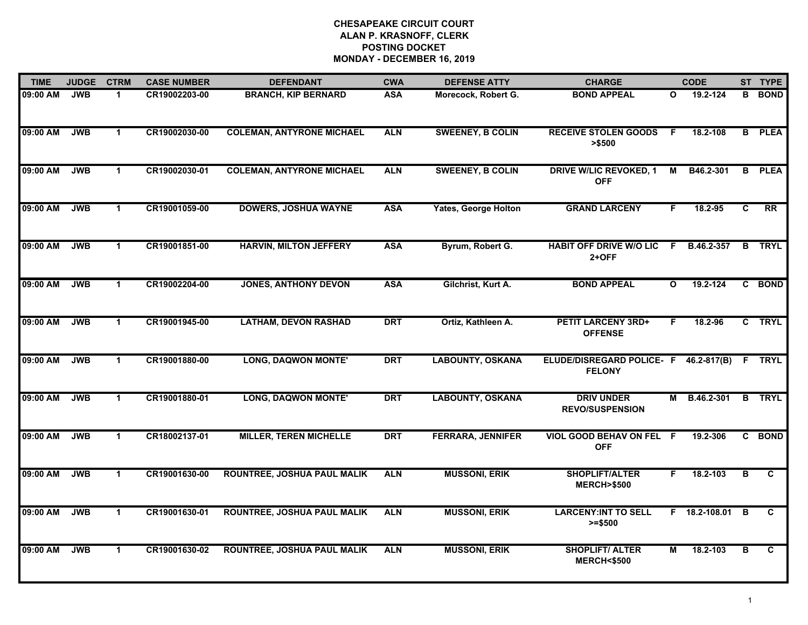| <b>TIME</b> | <b>JUDGE</b> | <b>CTRM</b>          | <b>CASE NUMBER</b> | <b>DEFENDANT</b>                   | <b>CWA</b> | <b>DEFENSE ATTY</b>         | <b>CHARGE</b>                                   |                | <b>CODE</b>     |                         | ST TYPE        |
|-------------|--------------|----------------------|--------------------|------------------------------------|------------|-----------------------------|-------------------------------------------------|----------------|-----------------|-------------------------|----------------|
| 09:00 AM    | <b>JWB</b>   | 1                    | CR19002203-00      | <b>BRANCH, KIP BERNARD</b>         | <b>ASA</b> | Morecock, Robert G.         | <b>BOND APPEAL</b>                              | O              | 19.2-124        | в                       | <b>BOND</b>    |
| 09:00 AM    | <b>JWB</b>   | $\mathbf{1}$         | CR19002030-00      | <b>COLEMAN, ANTYRONE MICHAEL</b>   | <b>ALN</b> | <b>SWEENEY, B COLIN</b>     | <b>RECEIVE STOLEN GOODS</b><br>> \$500          | E              | 18.2-108        |                         | <b>B</b> PLEA  |
| 09:00 AM    | <b>JWB</b>   | $\mathbf 1$          | CR19002030-01      | <b>COLEMAN, ANTYRONE MICHAEL</b>   | <b>ALN</b> | <b>SWEENEY, B COLIN</b>     | <b>DRIVE W/LIC REVOKED, 1</b><br><b>OFF</b>     | $\overline{M}$ | B46.2-301       | $\overline{B}$          | <b>PLEA</b>    |
| 09:00 AM    | <b>JWB</b>   | 1                    | CR19001059-00      | <b>DOWERS, JOSHUA WAYNE</b>        | <b>ASA</b> | <b>Yates, George Holton</b> | <b>GRAND LARCENY</b>                            | F.             | $18.2 - 95$     | C                       | <b>RR</b>      |
| 09:00 AM    | <b>JWB</b>   | $\mathbf{1}$         | CR19001851-00      | <b>HARVIN, MILTON JEFFERY</b>      | <b>ASA</b> | Byrum, Robert G.            | <b>HABIT OFF DRIVE W/O LIC</b><br>$2+OFF$       | F.             | B.46.2-357      | B.                      | <b>TRYL</b>    |
| 09:00 AM    | <b>JWB</b>   | $\mathbf{1}$         | CR19002204-00      | <b>JONES, ANTHONY DEVON</b>        | <b>ASA</b> | Gilchrist, Kurt A.          | <b>BOND APPEAL</b>                              | $\mathbf{o}$   | 19.2-124        |                         | C BOND         |
| 09:00 AM    | <b>JWB</b>   | $\blacktriangleleft$ | CR19001945-00      | <b>LATHAM, DEVON RASHAD</b>        | <b>DRT</b> | Ortiz, Kathleen A.          | <b>PETIT LARCENY 3RD+</b><br><b>OFFENSE</b>     | F              | 18.2-96         |                         | C TRYL         |
| 09:00 AM    | <b>JWB</b>   | $\blacktriangleleft$ | CR19001880-00      | <b>LONG, DAQWON MONTE'</b>         | <b>DRT</b> | <b>LABOUNTY, OSKANA</b>     | ELUDE/DISREGARD POLICE- F<br><b>FELONY</b>      |                | 46.2-817(B)     | F.                      | <b>TRYL</b>    |
| 09:00 AM    | <b>JWB</b>   | 1                    | CR19001880-01      | <b>LONG, DAQWON MONTE'</b>         | <b>DRT</b> | <b>LABOUNTY, OSKANA</b>     | <b>DRIV UNDER</b><br><b>REVO/SUSPENSION</b>     | M              | B.46.2-301      | B                       | <b>TRYL</b>    |
| 09:00 AM    | <b>JWB</b>   | $\blacktriangleleft$ | CR18002137-01      | <b>MILLER, TEREN MICHELLE</b>      | <b>DRT</b> | <b>FERRARA, JENNIFER</b>    | VIOL GOOD BEHAV ON FEL F<br><b>OFF</b>          |                | 19.2-306        |                         | C BOND         |
| 09:00 AM    | <b>JWB</b>   | $\mathbf{1}$         | CR19001630-00      | <b>ROUNTREE, JOSHUA PAUL MALIK</b> | <b>ALN</b> | <b>MUSSONI, ERIK</b>        | <b>SHOPLIFT/ALTER</b><br><b>MERCH&gt;\$500</b>  | F.             | 18.2-103        | в                       | C              |
| 09:00 AM    | <b>JWB</b>   | $\blacktriangleleft$ | CR19001630-01      | <b>ROUNTREE, JOSHUA PAUL MALIK</b> | <b>ALN</b> | <b>MUSSONI, ERIK</b>        | <b>LARCENY:INT TO SELL</b><br>$>= $500$         |                | F 18.2-108.01 B |                         | C              |
| 09:00 AM    | <b>JWB</b>   | $\blacktriangleleft$ | CR19001630-02      | <b>ROUNTREE, JOSHUA PAUL MALIK</b> | <b>ALN</b> | <b>MUSSONI, ERIK</b>        | <b>SHOPLIFT/ ALTER</b><br><b>MERCH&lt;\$500</b> | $\overline{M}$ | 18.2-103        | $\overline{\mathsf{B}}$ | $\overline{c}$ |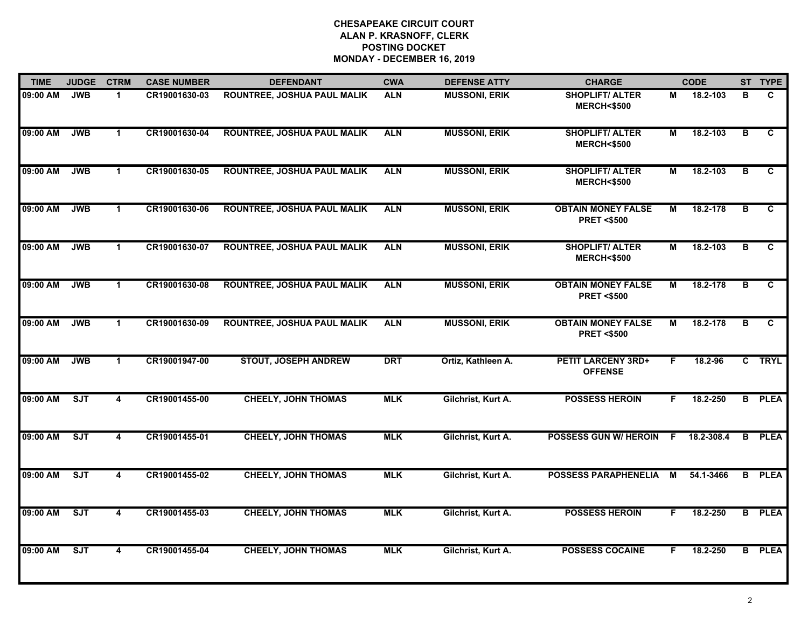| <b>TIME</b> | <b>JUDGE</b> | <b>CTRM</b>             | <b>CASE NUMBER</b> | <b>DEFENDANT</b>                   | <b>CWA</b> | <b>DEFENSE ATTY</b>  | <b>CHARGE</b>                                      |    | <b>CODE</b> |                | ST TYPE       |
|-------------|--------------|-------------------------|--------------------|------------------------------------|------------|----------------------|----------------------------------------------------|----|-------------|----------------|---------------|
| 09:00 AM    | <b>JWB</b>   | $\blacktriangleleft$    | CR19001630-03      | <b>ROUNTREE, JOSHUA PAUL MALIK</b> | <b>ALN</b> | <b>MUSSONI, ERIK</b> | <b>SHOPLIFT/ ALTER</b><br><b>MERCH&lt;\$500</b>    | М  | 18.2-103    | B              | C             |
| 09:00 AM    | <b>JWB</b>   | $\mathbf{1}$            | CR19001630-04      | <b>ROUNTREE, JOSHUA PAUL MALIK</b> | <b>ALN</b> | <b>MUSSONI, ERIK</b> | <b>SHOPLIFT/ ALTER</b><br><b>MERCH&lt;\$500</b>    | М  | 18.2-103    | $\overline{B}$ | C             |
| 09:00 AM    | <b>JWB</b>   | $\mathbf 1$             | CR19001630-05      | ROUNTREE, JOSHUA PAUL MALIK        | <b>ALN</b> | <b>MUSSONI, ERIK</b> | <b>SHOPLIFT/ALTER</b><br><b>MERCH&lt;\$500</b>     | М  | 18.2-103    | B              | C             |
| 09:00 AM    | <b>JWB</b>   | $\blacktriangleleft$    | CR19001630-06      | <b>ROUNTREE, JOSHUA PAUL MALIK</b> | <b>ALN</b> | <b>MUSSONI, ERIK</b> | <b>OBTAIN MONEY FALSE</b><br><b>PRET &lt;\$500</b> | М  | 18.2-178    | в              | C             |
| 09:00 AM    | <b>JWB</b>   | $\mathbf{1}$            | CR19001630-07      | <b>ROUNTREE, JOSHUA PAUL MALIK</b> | <b>ALN</b> | <b>MUSSONI, ERIK</b> | <b>SHOPLIFT/ ALTER</b><br><b>MERCH&lt;\$500</b>    | М  | 18.2-103    | в              | C             |
| 09:00 AM    | <b>JWB</b>   | $\mathbf 1$             | CR19001630-08      | <b>ROUNTREE, JOSHUA PAUL MALIK</b> | <b>ALN</b> | <b>MUSSONI, ERIK</b> | <b>OBTAIN MONEY FALSE</b><br><b>PRET &lt;\$500</b> | М  | 18.2-178    | в              | C             |
| 09:00 AM    | <b>JWB</b>   | $\blacktriangleleft$    | CR19001630-09      | <b>ROUNTREE, JOSHUA PAUL MALIK</b> | <b>ALN</b> | <b>MUSSONI, ERIK</b> | <b>OBTAIN MONEY FALSE</b><br><b>PRET &lt;\$500</b> | М  | 18.2-178    | B              | C             |
| 09:00 AM    | <b>JWB</b>   | $\mathbf 1$             | CR19001947-00      | <b>STOUT, JOSEPH ANDREW</b>        | <b>DRT</b> | Ortiz, Kathleen A.   | <b>PETIT LARCENY 3RD+</b><br><b>OFFENSE</b>        | F  | 18.2-96     |                | C TRYL        |
| 09:00 AM    | SJT          | 4                       | CR19001455-00      | <b>CHEELY, JOHN THOMAS</b>         | <b>MLK</b> | Gilchrist, Kurt A.   | <b>POSSESS HEROIN</b>                              | F. | 18.2-250    |                | <b>B</b> PLEA |
| 09:00 AM    | <b>SJT</b>   | 4                       | CR19001455-01      | <b>CHEELY, JOHN THOMAS</b>         | <b>MLK</b> | Gilchrist, Kurt A.   | <b>POSSESS GUN W/ HEROIN</b>                       | F. | 18.2-308.4  | B.             | <b>PLEA</b>   |
| 09:00 AM    | SJT          | 4                       | CR19001455-02      | <b>CHEELY, JOHN THOMAS</b>         | <b>MLK</b> | Gilchrist, Kurt A.   | <b>POSSESS PARAPHENELIA</b>                        | M  | 54.1-3466   |                | <b>B</b> PLEA |
| 09:00 AM    | ST           | $\overline{\mathbf{4}}$ | CR19001455-03      | <b>CHEELY, JOHN THOMAS</b>         | <b>MLK</b> | Gilchrist, Kurt A.   | <b>POSSESS HEROIN</b>                              | F. | 18.2-250    |                | <b>B</b> PLEA |
| 09:00 AM    | ST           | $\overline{\mathbf{4}}$ | CR19001455-04      | <b>CHEELY, JOHN THOMAS</b>         | <b>MLK</b> | Gilchrist, Kurt A.   | <b>POSSESS COCAINE</b>                             | F. | 18.2-250    |                | <b>B</b> PLEA |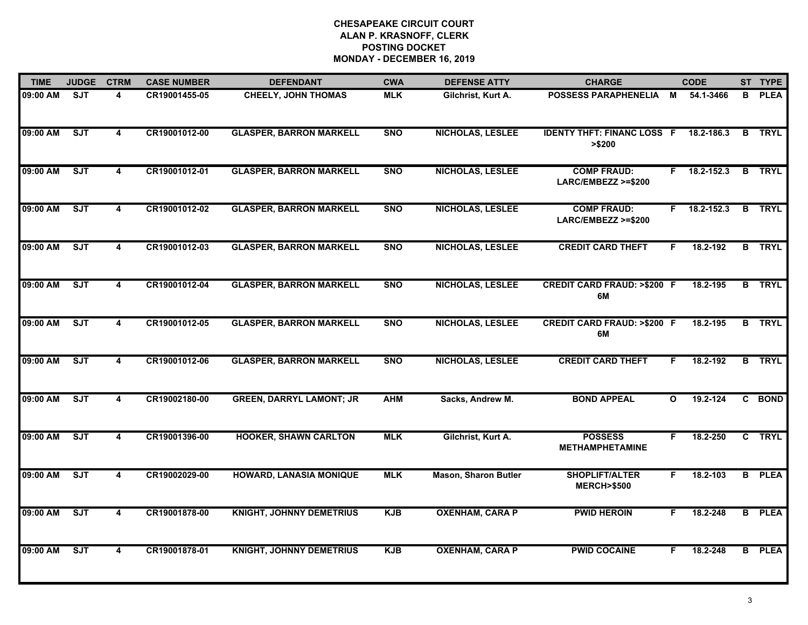| <b>TIME</b> | <b>JUDGE</b> | <b>CTRM</b>             | <b>CASE NUMBER</b> | <b>DEFENDANT</b>                | <b>CWA</b> | <b>DEFENSE ATTY</b>         | <b>CHARGE</b>                                  | <b>CODE</b> |                |   | ST TYPE       |
|-------------|--------------|-------------------------|--------------------|---------------------------------|------------|-----------------------------|------------------------------------------------|-------------|----------------|---|---------------|
| 09:00 AM    | <b>SJT</b>   | 4                       | CR19001455-05      | <b>CHEELY, JOHN THOMAS</b>      | <b>MLK</b> | Gilchrist, Kurt A.          | <b>POSSESS PARAPHENELIA</b>                    | M           | 54.1-3466      | B | <b>PLEA</b>   |
| 09:00 AM    | SJT          | $\overline{4}$          | CR19001012-00      | <b>GLASPER, BARRON MARKELL</b>  | <b>SNO</b> | <b>NICHOLAS, LESLEE</b>     | <b>IDENTY THFT: FINANC LOSS F</b><br>> \$200   |             | 18.2-186.3     | B | <b>TRYL</b>   |
| 09:00 AM    | ST           | $\overline{\mathbf{4}}$ | CR19001012-01      | <b>GLASPER, BARRON MARKELL</b>  | <b>SNO</b> | NICHOLAS, LESLEE            | <b>COMP FRAUD:</b><br>LARC/EMBEZZ >=\$200      | F.          | 18.2-152.3     |   | <b>B</b> TRYL |
| 09:00 AM    | SJT          | 4                       | CR19001012-02      | <b>GLASPER, BARRON MARKELL</b>  | <b>SNO</b> | <b>NICHOLAS, LESLEE</b>     | <b>COMP FRAUD:</b><br>LARC/EMBEZZ >=\$200      |             | $F$ 18.2-152.3 |   | <b>B</b> TRYL |
| 09:00 AM    | SJT          | 4                       | CR19001012-03      | <b>GLASPER, BARRON MARKELL</b>  | <b>SNO</b> | <b>NICHOLAS, LESLEE</b>     | <b>CREDIT CARD THEFT</b>                       | F.          | 18.2-192       |   | <b>B</b> TRYL |
| 09:00 AM    | ST           | 4                       | CR19001012-04      | <b>GLASPER, BARRON MARKELL</b>  | <b>SNO</b> | <b>NICHOLAS, LESLEE</b>     | <b>CREDIT CARD FRAUD: &gt;\$200 F</b><br>6M    |             | 18.2-195       |   | <b>B</b> TRYL |
| 09:00 AM    | ST           | $\overline{\mathbf{4}}$ | CR19001012-05      | <b>GLASPER, BARRON MARKELL</b>  | <b>SNO</b> | <b>NICHOLAS, LESLEE</b>     | <b>CREDIT CARD FRAUD: &gt;\$200 F</b><br>6M    |             | 18.2-195       | B | <b>TRYL</b>   |
| 09:00 AM    | ST           | $\overline{\mathbf{4}}$ | CR19001012-06      | <b>GLASPER, BARRON MARKELL</b>  | <b>SNO</b> | <b>NICHOLAS, LESLEE</b>     | <b>CREDIT CARD THEFT</b>                       | F.          | 18.2-192       |   | <b>B</b> TRYL |
| 09:00 AM    | SJT          | 4                       | CR19002180-00      | <b>GREEN, DARRYL LAMONT; JR</b> | <b>AHM</b> | Sacks, Andrew M.            | <b>BOND APPEAL</b>                             | O           | 19.2-124       |   | C BOND        |
| 09:00 AM    | ST           | 4                       | CR19001396-00      | <b>HOOKER, SHAWN CARLTON</b>    | <b>MLK</b> | Gilchrist, Kurt A.          | <b>POSSESS</b><br><b>METHAMPHETAMINE</b>       | F.          | 18.2-250       |   | C TRYL        |
| 09:00 AM    | SJT          | 4                       | CR19002029-00      | <b>HOWARD, LANASIA MONIQUE</b>  | <b>MLK</b> | <b>Mason, Sharon Butler</b> | <b>SHOPLIFT/ALTER</b><br><b>MERCH&gt;\$500</b> | F.          | 18.2-103       |   | <b>B</b> PLEA |
| 09:00 AM    | ST           | $\overline{\mathbf{4}}$ | CR19001878-00      | <b>KNIGHT, JOHNNY DEMETRIUS</b> | <b>KJB</b> | <b>OXENHAM, CARA P</b>      | <b>PWID HEROIN</b>                             | F.          | 18.2-248       |   | <b>B</b> PLEA |
| 09:00 AM    | ST           | $\overline{\mathbf{4}}$ | CR19001878-01      | <b>KNIGHT, JOHNNY DEMETRIUS</b> | <b>KJB</b> | <b>OXENHAM, CARA P</b>      | <b>PWID COCAINE</b>                            | F.          | 18.2-248       |   | <b>B</b> PLEA |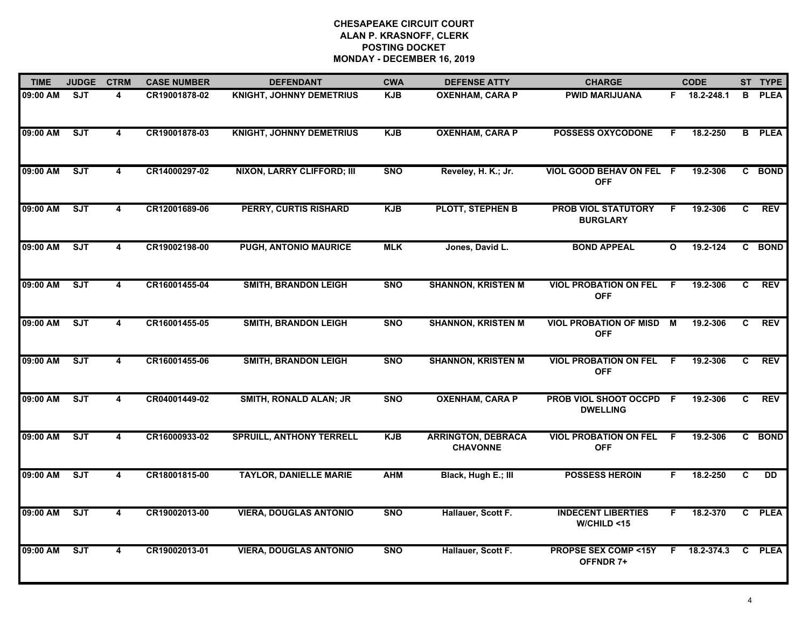| <b>TIME</b> | <b>JUDGE</b> | <b>CTRM</b>             | <b>CASE NUMBER</b> | <b>DEFENDANT</b>                  | <b>CWA</b> | <b>DEFENSE ATTY</b>                          | <b>CHARGE</b>                                 |              | <b>CODE</b>  |    | ST TYPE     |
|-------------|--------------|-------------------------|--------------------|-----------------------------------|------------|----------------------------------------------|-----------------------------------------------|--------------|--------------|----|-------------|
| 09:00 AM    | SJT          | 4                       | CR19001878-02      | <b>KNIGHT, JOHNNY DEMETRIUS</b>   | <b>KJB</b> | <b>OXENHAM, CARA P</b>                       | <b>PWID MARIJUANA</b>                         |              | F 18.2-248.1 | B  | <b>PLEA</b> |
| 09:00 AM    | ST           | $\overline{4}$          | CR19001878-03      | <b>KNIGHT, JOHNNY DEMETRIUS</b>   | <b>KJB</b> | <b>OXENHAM, CARA P</b>                       | <b>POSSESS OXYCODONE</b>                      | F.           | 18.2-250     | B  | <b>PLEA</b> |
| 09:00 AM    | ST           | $\overline{\mathbf{4}}$ | CR14000297-02      | <b>NIXON, LARRY CLIFFORD; III</b> | <b>SNO</b> | Reveley, H. K.; Jr.                          | VIOL GOOD BEHAV ON FEL F<br><b>OFF</b>        |              | 19.2-306     |    | C BOND      |
| 09:00 AM    | SJT          | 4                       | CR12001689-06      | <b>PERRY, CURTIS RISHARD</b>      | <b>KJB</b> | <b>PLOTT, STEPHEN B</b>                      | <b>PROB VIOL STATUTORY</b><br><b>BURGLARY</b> | F.           | 19.2-306     | C. | <b>REV</b>  |
| 09:00 AM    | <b>SJT</b>   | 4                       | CR19002198-00      | PUGH, ANTONIO MAURICE             | <b>MLK</b> | Jones, David L.                              | <b>BOND APPEAL</b>                            | $\mathbf{o}$ | 19.2-124     | C. | <b>BOND</b> |
| 09:00 AM    | ST           | 4                       | CR16001455-04      | <b>SMITH, BRANDON LEIGH</b>       | <b>SNO</b> | <b>SHANNON, KRISTEN M</b>                    | <b>VIOL PROBATION ON FEL</b><br><b>OFF</b>    | -F           | 19.2-306     | C  | <b>REV</b>  |
| 09:00 AM    | SJT          | $\overline{\mathbf{4}}$ | CR16001455-05      | <b>SMITH, BRANDON LEIGH</b>       | <b>SNO</b> | <b>SHANNON, KRISTEN M</b>                    | <b>VIOL PROBATION OF MISD M</b><br><b>OFF</b> |              | 19.2-306     | C  | <b>REV</b>  |
| 09:00 AM    | ST           | 4                       | CR16001455-06      | <b>SMITH, BRANDON LEIGH</b>       | <b>SNO</b> | <b>SHANNON, KRISTEN M</b>                    | <b>VIOL PROBATION ON FEL</b><br><b>OFF</b>    | F.           | 19.2-306     | C. | <b>REV</b>  |
| 09:00 AM    | SJT          | 4                       | CR04001449-02      | <b>SMITH, RONALD ALAN; JR</b>     | <b>SNO</b> | <b>OXENHAM, CARA P</b>                       | PROB VIOL SHOOT OCCPD F<br><b>DWELLING</b>    |              | 19.2-306     | C. | <b>REV</b>  |
| 09:00 AM    | <b>SJT</b>   | 4                       | CR16000933-02      | <b>SPRUILL, ANTHONY TERRELL</b>   | <b>KJB</b> | <b>ARRINGTON, DEBRACA</b><br><b>CHAVONNE</b> | <b>VIOL PROBATION ON FEL</b><br><b>OFF</b>    | F            | 19.2-306     |    | C BOND      |
| 09:00 AM    | ST           | 4                       | CR18001815-00      | <b>TAYLOR, DANIELLE MARIE</b>     | <b>AHM</b> | Black, Hugh E.; III                          | <b>POSSESS HEROIN</b>                         | F.           | 18.2-250     | C  | <b>DD</b>   |
| 09:00 AM    | ST           | $\overline{4}$          | CR19002013-00      | <b>VIERA, DOUGLAS ANTONIO</b>     | <b>SNO</b> | Hallauer, Scott F.                           | <b>INDECENT LIBERTIES</b><br>W/CHILD < 15     | F.           | 18.2-370     |    | C PLEA      |
| 09:00 AM    | ST           | $\overline{\mathbf{4}}$ | CR19002013-01      | <b>VIERA, DOUGLAS ANTONIO</b>     | <b>SNO</b> | Hallauer, Scott F.                           | <b>PROPSE SEX COMP &lt;15Y</b><br>OFFNDR 7+   | F.           | 18.2-374.3   |    | C PLEA      |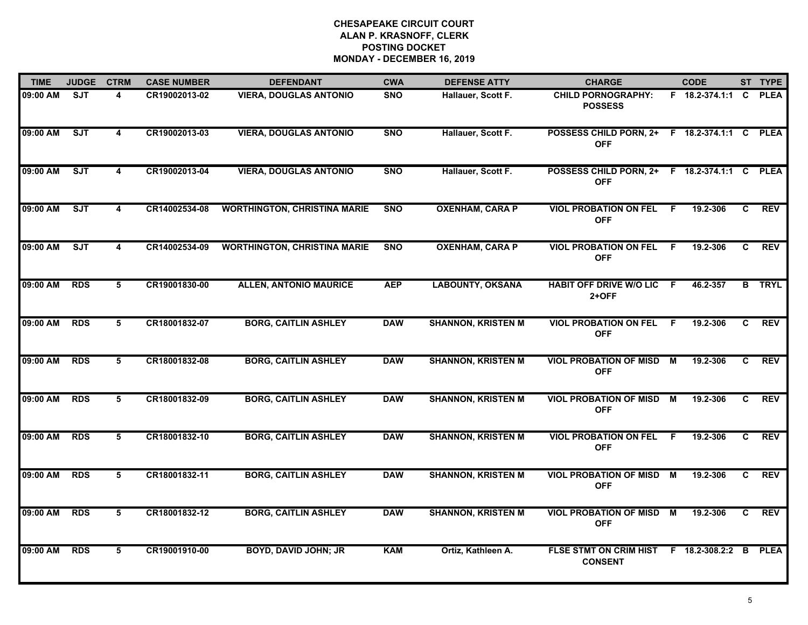| <b>TIME</b>  | <b>JUDGE</b> | <b>CTRM</b>             | <b>CASE NUMBER</b> | <b>DEFENDANT</b>                    | <b>CWA</b> | <b>DEFENSE ATTY</b>       | <b>CHARGE</b>                                              |                | <b>CODE</b>           |                | ST TYPE       |
|--------------|--------------|-------------------------|--------------------|-------------------------------------|------------|---------------------------|------------------------------------------------------------|----------------|-----------------------|----------------|---------------|
| 09:00 AM     | <b>SJT</b>   | 4                       | CR19002013-02      | <b>VIERA, DOUGLAS ANTONIO</b>       | <b>SNO</b> | Hallauer, Scott F.        | <b>CHILD PORNOGRAPHY:</b><br><b>POSSESS</b>                |                | F 18.2-374.1:1        | C.             | <b>PLEA</b>   |
| 09:00 AM     | SJT          | 4                       | CR19002013-03      | <b>VIERA, DOUGLAS ANTONIO</b>       | <b>SNO</b> | Hallauer, Scott F.        | POSSESS CHILD PORN, 2+ F 18.2-374.1:1 C PLEA<br><b>OFF</b> |                |                       |                |               |
| 09:00 AM     | ST           | 4                       | CR19002013-04      | <b>VIERA, DOUGLAS ANTONIO</b>       | <b>SNO</b> | Hallauer, Scott F.        | POSSESS CHILD PORN, 2+<br><b>OFF</b>                       |                | F 18.2-374.1:1 C PLEA |                |               |
| 09:00 AM     | <b>SJT</b>   | 4                       | CR14002534-08      | <b>WORTHINGTON, CHRISTINA MARIE</b> | <b>SNO</b> | <b>OXENHAM, CARA P</b>    | <b>VIOL PROBATION ON FEL</b><br><b>OFF</b>                 | F.             | 19.2-306              | C.             | <b>REV</b>    |
| 09:00 AM     | <b>SJT</b>   | $\overline{\mathbf{4}}$ | CR14002534-09      | <b>WORTHINGTON, CHRISTINA MARIE</b> | <b>SNO</b> | <b>OXENHAM, CARA P</b>    | <b>VIOL PROBATION ON FEL</b><br><b>OFF</b>                 | - F            | 19.2-306              | C              | <b>REV</b>    |
| 09:00 AM RDS |              | 5                       | CR19001830-00      | <b>ALLEN, ANTONIO MAURICE</b>       | <b>AEP</b> | <b>LABOUNTY, OKSANA</b>   | HABIT OFF DRIVE W/O LIC F<br>2+OFF                         |                | 46.2-357              |                | <b>B</b> TRYL |
| 09:00 AM     | <b>RDS</b>   | 5                       | CR18001832-07      | <b>BORG, CAITLIN ASHLEY</b>         | <b>DAW</b> | <b>SHANNON, KRISTEN M</b> | <b>VIOL PROBATION ON FEL</b><br><b>OFF</b>                 | - F            | 19.2-306              | C              | <b>REV</b>    |
| 09:00 AM     | <b>RDS</b>   | $5\overline{5}$         | CR18001832-08      | <b>BORG, CAITLIN ASHLEY</b>         | <b>DAW</b> | <b>SHANNON, KRISTEN M</b> | <b>VIOL PROBATION OF MISD</b><br><b>OFF</b>                | $\overline{M}$ | 19.2-306              | $\overline{c}$ | <b>REV</b>    |
| 09:00 AM     | <b>RDS</b>   | 5                       | CR18001832-09      | <b>BORG, CAITLIN ASHLEY</b>         | <b>DAW</b> | <b>SHANNON, KRISTEN M</b> | <b>VIOL PROBATION OF MISD</b><br><b>OFF</b>                | М              | 19.2-306              | C.             | <b>REV</b>    |
| 09:00 AM     | <b>RDS</b>   | 5                       | CR18001832-10      | <b>BORG, CAITLIN ASHLEY</b>         | <b>DAW</b> | <b>SHANNON, KRISTEN M</b> | <b>VIOL PROBATION ON FEL</b><br><b>OFF</b>                 | -F             | 19.2-306              | C              | <b>REV</b>    |
| 09:00 AM RDS |              | 5                       | CR18001832-11      | <b>BORG, CAITLIN ASHLEY</b>         | <b>DAW</b> | <b>SHANNON, KRISTEN M</b> | <b>VIOL PROBATION OF MISD M</b><br><b>OFF</b>              |                | 19.2-306              | C.             | <b>REV</b>    |
| 09:00 AM     | <b>RDS</b>   | 5                       | CR18001832-12      | <b>BORG, CAITLIN ASHLEY</b>         | <b>DAW</b> | <b>SHANNON, KRISTEN M</b> | <b>VIOL PROBATION OF MISD M</b><br><b>OFF</b>              |                | 19.2-306              | C.             | <b>REV</b>    |
| 09:00 AM     | <b>RDS</b>   | $5\overline{5}$         | CR19001910-00      | <b>BOYD, DAVID JOHN; JR</b>         | <b>KAM</b> | Ortiz, Kathleen A.        | <b>FLSE STMT ON CRIM HIST</b><br><b>CONSENT</b>            |                | F 18.2-308.2:2 B      |                | <b>PLEA</b>   |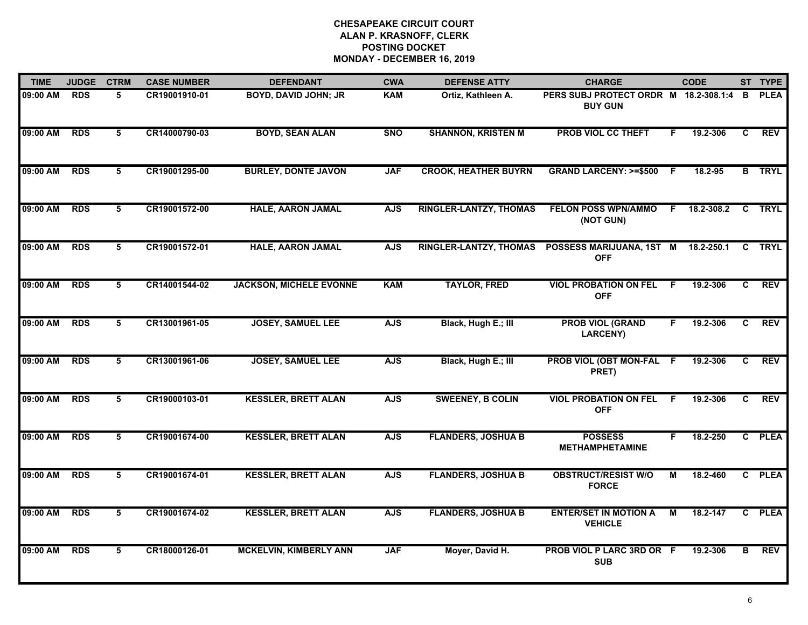| <b>TIME</b> | <b>JUDGE</b> | <b>CTRM</b> | <b>CASE NUMBER</b> | <b>DEFENDANT</b>               | <b>CWA</b> | <b>DEFENSE ATTY</b>           | <b>CHARGE</b>                                           |     | <b>CODE</b> |   | ST TYPE       |
|-------------|--------------|-------------|--------------------|--------------------------------|------------|-------------------------------|---------------------------------------------------------|-----|-------------|---|---------------|
| 09:00 AM    | <b>RDS</b>   | 5           | CR19001910-01      | <b>BOYD, DAVID JOHN; JR</b>    | <b>KAM</b> | Ortiz, Kathleen A.            | PERS SUBJ PROTECT ORDR M 18.2-308.1:4<br><b>BUY GUN</b> |     |             | В | <b>PLEA</b>   |
| 09:00 AM    | <b>RDS</b>   | 5           | CR14000790-03      | <b>BOYD, SEAN ALAN</b>         | <b>SNO</b> | <b>SHANNON, KRISTEN M</b>     | <b>PROB VIOL CC THEFT</b>                               | F.  | 19.2-306    | C | <b>REV</b>    |
| 09:00 AM    | <b>RDS</b>   | 5           | CR19001295-00      | <b>BURLEY, DONTE JAVON</b>     | <b>JAF</b> | <b>CROOK, HEATHER BUYRN</b>   | <b>GRAND LARCENY: &gt;=\$500</b>                        | - F | 18.2-95     |   | <b>B</b> TRYL |
| 09:00 AM    | <b>RDS</b>   | 5           | CR19001572-00      | <b>HALE, AARON JAMAL</b>       | <b>AJS</b> | <b>RINGLER-LANTZY, THOMAS</b> | <b>FELON POSS WPN/AMMO</b><br>(NOT GUN)                 | F.  | 18.2-308.2  |   | <b>C</b> TRYL |
| 09:00 AM    | <b>RDS</b>   | 5           | CR19001572-01      | <b>HALE, AARON JAMAL</b>       | <b>AJS</b> | <b>RINGLER-LANTZY, THOMAS</b> | POSSESS MARIJUANA, 1ST M<br><b>OFF</b>                  |     | 18.2-250.1  |   | C TRYL        |
| 09:00 AM    | <b>RDS</b>   | 5           | CR14001544-02      | <b>JACKSON, MICHELE EVONNE</b> | <b>KAM</b> | <b>TAYLOR, FRED</b>           | <b>VIOL PROBATION ON FEL F</b><br><b>OFF</b>            |     | 19.2-306    | C | <b>REV</b>    |
| 09:00 AM    | <b>RDS</b>   | 5           | CR13001961-05      | <b>JOSEY, SAMUEL LEE</b>       | <b>AJS</b> | Black, Hugh E.; III           | <b>PROB VIOL (GRAND</b><br><b>LARCENY)</b>              | F.  | 19.2-306    | C | <b>REV</b>    |
| 09:00 AM    | <b>RDS</b>   | 5           | CR13001961-06      | <b>JOSEY, SAMUEL LEE</b>       | <b>AJS</b> | Black, Hugh E.; III           | PROB VIOL (OBT MON-FAL F<br>PRET)                       |     | 19.2-306    | C | <b>REV</b>    |
| 09:00 AM    | <b>RDS</b>   | 5           | CR19000103-01      | <b>KESSLER, BRETT ALAN</b>     | <b>AJS</b> | <b>SWEENEY, B COLIN</b>       | <b>VIOL PROBATION ON FEL</b><br><b>OFF</b>              | -F  | 19.2-306    | C | <b>REV</b>    |
| 09:00 AM    | <b>RDS</b>   | 5           | CR19001674-00      | <b>KESSLER, BRETT ALAN</b>     | <b>AJS</b> | <b>FLANDERS, JOSHUA B</b>     | <b>POSSESS</b><br><b>METHAMPHETAMINE</b>                | F.  | 18.2-250    |   | C PLEA        |
| 09:00 AM    | <b>RDS</b>   | 5           | CR19001674-01      | <b>KESSLER, BRETT ALAN</b>     | <b>AJS</b> | <b>FLANDERS, JOSHUA B</b>     | <b>OBSTRUCT/RESIST W/O</b><br><b>FORCE</b>              | М   | 18.2-460    |   | C PLEA        |
| 09:00 AM    | <b>RDS</b>   | 5           | CR19001674-02      | <b>KESSLER, BRETT ALAN</b>     | <b>AJS</b> | <b>FLANDERS, JOSHUA B</b>     | <b>ENTER/SET IN MOTION A</b><br><b>VEHICLE</b>          | М   | 18.2-147    |   | C PLEA        |
| 09:00 AM    | <b>RDS</b>   | 5           | CR18000126-01      | <b>MCKELVIN, KIMBERLY ANN</b>  | <b>JAF</b> | Moyer, David H.               | PROB VIOL P LARC 3RD OR F<br><b>SUB</b>                 |     | 19.2-306    | в | <b>REV</b>    |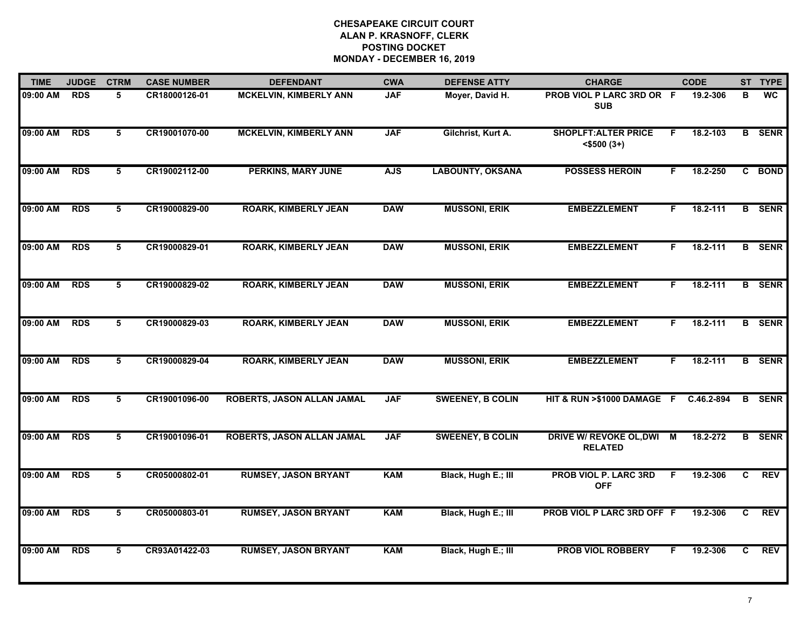| 09:00 AM | <b>RDS</b> |                |               |                               |            |                         |                                                  |    |            |                |               |
|----------|------------|----------------|---------------|-------------------------------|------------|-------------------------|--------------------------------------------------|----|------------|----------------|---------------|
|          |            | 5              | CR18000126-01 | <b>MCKELVIN, KIMBERLY ANN</b> | <b>JAF</b> | Moyer, David H.         | PROB VIOL P LARC 3RD OR F<br><b>SUB</b>          |    | 19.2-306   | В              | <b>WC</b>     |
| 09:00 AM | <b>RDS</b> | 5              | CR19001070-00 | <b>MCKELVIN, KIMBERLY ANN</b> | <b>JAF</b> | Gilchrist, Kurt A.      | <b>SHOPLFT: ALTER PRICE</b><br>$<$ \$500 $(3+)$  | F  | 18.2-103   |                | <b>B</b> SENR |
| 09:00 AM | <b>RDS</b> | 5              | CR19002112-00 | <b>PERKINS, MARY JUNE</b>     | <b>AJS</b> | <b>LABOUNTY, OKSANA</b> | <b>POSSESS HEROIN</b>                            | F. | 18.2-250   |                | C BOND        |
| 09:00 AM | <b>RDS</b> | 5              | CR19000829-00 | <b>ROARK, KIMBERLY JEAN</b>   | <b>DAW</b> | <b>MUSSONI, ERIK</b>    | <b>EMBEZZLEMENT</b>                              | F. | 18.2-111   |                | <b>B</b> SENR |
| 09:00 AM | <b>RDS</b> | 5              | CR19000829-01 | <b>ROARK, KIMBERLY JEAN</b>   | <b>DAW</b> | <b>MUSSONI, ERIK</b>    | <b>EMBEZZLEMENT</b>                              | F. | 18.2-111   |                | <b>B</b> SENR |
| 09:00 AM | <b>RDS</b> | 5              | CR19000829-02 | <b>ROARK, KIMBERLY JEAN</b>   | <b>DAW</b> | <b>MUSSONI, ERIK</b>    | <b>EMBEZZLEMENT</b>                              | F. | 18.2-111   |                | <b>B</b> SENR |
| 09:00 AM | <b>RDS</b> | $\overline{5}$ | CR19000829-03 | <b>ROARK, KIMBERLY JEAN</b>   | <b>DAW</b> | <b>MUSSONI, ERIK</b>    | <b>EMBEZZLEMENT</b>                              | F. | 18.2-111   |                | <b>B</b> SENR |
| 09:00 AM | <b>RDS</b> | 5              | CR19000829-04 | <b>ROARK, KIMBERLY JEAN</b>   | <b>DAW</b> | <b>MUSSONI, ERIK</b>    | <b>EMBEZZLEMENT</b>                              | F. | 18.2-111   |                | <b>B</b> SENR |
| 09:00 AM | <b>RDS</b> | 5              | CR19001096-00 | ROBERTS, JASON ALLAN JAMAL    | <b>JAF</b> | <b>SWEENEY, B COLIN</b> | HIT & RUN >\$1000 DAMAGE F                       |    | C.46.2-894 | B              | <b>SENR</b>   |
| 09:00 AM | <b>RDS</b> | 5              | CR19001096-01 | ROBERTS, JASON ALLAN JAMAL    | <b>JAF</b> | <b>SWEENEY, B COLIN</b> | <b>DRIVE W/ REVOKE OL, DWI</b><br><b>RELATED</b> | M  | 18.2-272   |                | <b>B</b> SENR |
| 09:00 AM | <b>RDS</b> | 5              | CR05000802-01 | <b>RUMSEY, JASON BRYANT</b>   | <b>KAM</b> | Black, Hugh E.; III     | <b>PROB VIOL P. LARC 3RD</b><br><b>OFF</b>       | F. | 19.2-306   | $\overline{c}$ | <b>REV</b>    |
| 09:00 AM | <b>RDS</b> | 5              | CR05000803-01 | <b>RUMSEY, JASON BRYANT</b>   | <b>KAM</b> | Black, Hugh E.; III     | PROB VIOL P LARC 3RD OFF F                       |    | 19.2-306   | C              | <b>REV</b>    |
| 09:00 AM | <b>RDS</b> | 5              | CR93A01422-03 | <b>RUMSEY, JASON BRYANT</b>   | <b>KAM</b> | Black, Hugh E.; III     | PROB VIOL ROBBERY                                |    | 19.2-306   | C              | <b>REV</b>    |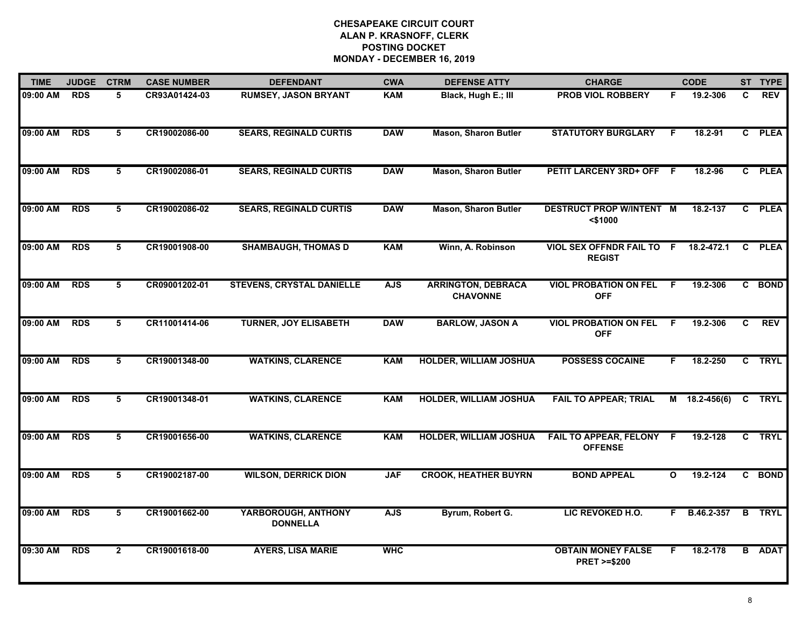| <b>TIME</b> | <b>JUDGE</b> | <b>CTRM</b>     | <b>CASE NUMBER</b> | <b>DEFENDANT</b>                       | <b>CWA</b> | <b>DEFENSE ATTY</b>                          | <b>CHARGE</b>                                       |              | <b>CODE</b>     |              | ST TYPE       |
|-------------|--------------|-----------------|--------------------|----------------------------------------|------------|----------------------------------------------|-----------------------------------------------------|--------------|-----------------|--------------|---------------|
| 09:00 AM    | <b>RDS</b>   | 5               | CR93A01424-03      | <b>RUMSEY, JASON BRYANT</b>            | <b>KAM</b> | Black, Hugh E.; III                          | <b>PROB VIOL ROBBERY</b>                            | F.           | 19.2-306        | C.           | <b>REV</b>    |
| 09:00 AM    | <b>RDS</b>   | 5               | CR19002086-00      | <b>SEARS, REGINALD CURTIS</b>          | <b>DAW</b> | <b>Mason, Sharon Butler</b>                  | <b>STATUTORY BURGLARY</b>                           | F.           | 18.2-91         | $\mathbf{c}$ | <b>PLEA</b>   |
| 09:00 AM    | <b>RDS</b>   | 5               | CR19002086-01      | <b>SEARS, REGINALD CURTIS</b>          | <b>DAW</b> | <b>Mason, Sharon Butler</b>                  | <b>PETIT LARCENY 3RD+ OFF</b>                       | -F           | 18.2-96         |              | C PLEA        |
| 09:00 AM    | <b>RDS</b>   | 5               | CR19002086-02      | <b>SEARS, REGINALD CURTIS</b>          | <b>DAW</b> | <b>Mason, Sharon Butler</b>                  | <b>DESTRUCT PROP W/INTENT M</b><br>$<$ \$1000       |              | 18.2-137        | C.           | <b>PLEA</b>   |
| 09:00 AM    | <b>RDS</b>   | 5               | CR19001908-00      | <b>SHAMBAUGH, THOMAS D</b>             | <b>KAM</b> | Winn, A. Robinson                            | <b>VIOL SEX OFFNDR FAIL TO F</b><br><b>REGIST</b>   |              | 18.2-472.1      | C            | <b>PLEA</b>   |
| 09:00 AM    | <b>RDS</b>   | 5               | CR09001202-01      | <b>STEVENS, CRYSTAL DANIELLE</b>       | <b>AJS</b> | <b>ARRINGTON, DEBRACA</b><br><b>CHAVONNE</b> | <b>VIOL PROBATION ON FEL</b><br><b>OFF</b>          | - F          | 19.2-306        |              | C BOND        |
| 09:00 AM    | <b>RDS</b>   | $5\overline{5}$ | CR11001414-06      | <b>TURNER, JOY ELISABETH</b>           | <b>DAW</b> | <b>BARLOW, JASON A</b>                       | <b>VIOL PROBATION ON FEL</b><br><b>OFF</b>          | - F          | 19.2-306        | C            | REV           |
| 09:00 AM    | <b>RDS</b>   | 5               | CR19001348-00      | <b>WATKINS, CLARENCE</b>               | <b>KAM</b> | <b>HOLDER, WILLIAM JOSHUA</b>                | <b>POSSESS COCAINE</b>                              | F.           | 18.2-250        |              | C TRYL        |
| 09:00 AM    | <b>RDS</b>   | 5               | CR19001348-01      | <b>WATKINS, CLARENCE</b>               | <b>KAM</b> | <b>HOLDER, WILLIAM JOSHUA</b>                | <b>FAIL TO APPEAR; TRIAL</b>                        |              | $M$ 18.2-456(6) | C            | <b>TRYL</b>   |
| 09:00 AM    | <b>RDS</b>   | 5               | CR19001656-00      | <b>WATKINS, CLARENCE</b>               | <b>KAM</b> | <b>HOLDER, WILLIAM JOSHUA</b>                | <b>FAIL TO APPEAR, FELONY</b><br><b>OFFENSE</b>     | -F           | 19.2-128        | $\mathbf{c}$ | <b>TRYL</b>   |
| 09:00 AM    | <b>RDS</b>   | 5               | CR19002187-00      | <b>WILSON, DERRICK DION</b>            | <b>JAF</b> | <b>CROOK, HEATHER BUYRN</b>                  | <b>BOND APPEAL</b>                                  | $\mathbf{o}$ | 19.2-124        |              | C BOND        |
| 09:00 AM    | <b>RDS</b>   | 5               | CR19001662-00      | YARBOROUGH, ANTHONY<br><b>DONNELLA</b> | <b>AJS</b> | Byrum, Robert G.                             | LIC REVOKED H.O.                                    | F.           | B.46.2-357      | B            | <b>TRYL</b>   |
| 09:30 AM    | <b>RDS</b>   | $\overline{2}$  | CR19001618-00      | <b>AYERS, LISA MARIE</b>               | <b>WHC</b> |                                              | <b>OBTAIN MONEY FALSE</b><br><b>PRET &gt;=\$200</b> | F.           | 18.2-178        |              | <b>B</b> ADAT |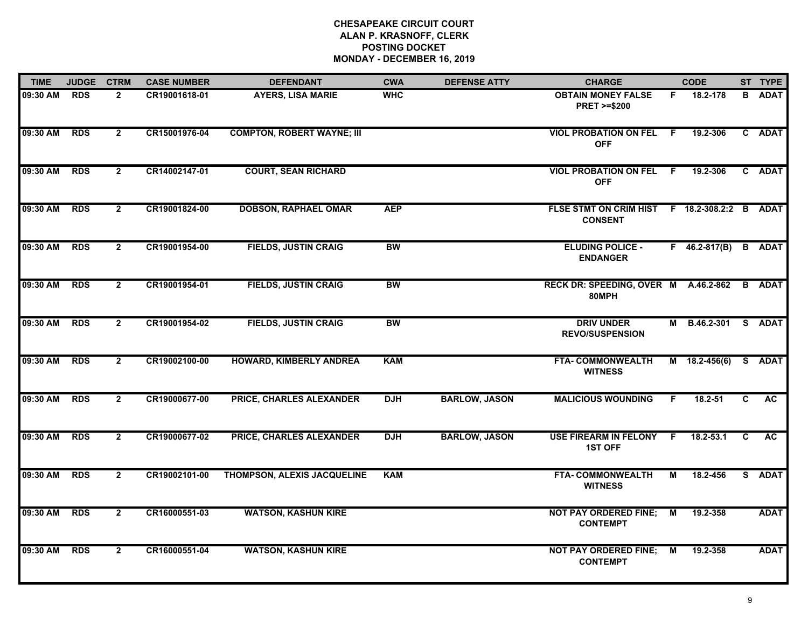| <b>TIME</b>  | <b>JUDGE</b> | <b>CTRM</b>    | <b>CASE NUMBER</b> | <b>DEFENDANT</b>                   | <b>CWA</b> | <b>DEFENSE ATTY</b>  | <b>CHARGE</b>                                             |    | <b>CODE</b>     |              | ST TYPE       |
|--------------|--------------|----------------|--------------------|------------------------------------|------------|----------------------|-----------------------------------------------------------|----|-----------------|--------------|---------------|
| 09:30 AM     | <b>RDS</b>   | $\mathbf{2}$   | CR19001618-01      | <b>AYERS, LISA MARIE</b>           | <b>WHC</b> |                      | <b>OBTAIN MONEY FALSE</b><br><b>PRET &gt;=\$200</b>       | F. | 18.2-178        |              | <b>B</b> ADAT |
| 09:30 AM RDS |              | $\overline{2}$ | CR15001976-04      | <b>COMPTON, ROBERT WAYNE; III</b>  |            |                      | <b>VIOL PROBATION ON FEL F</b><br><b>OFF</b>              |    | 19.2-306        |              | C ADAT        |
| 09:30 AM     | <b>RDS</b>   | $\overline{2}$ | CR14002147-01      | <b>COURT, SEAN RICHARD</b>         |            |                      | <b>VIOL PROBATION ON FEL F</b><br><b>OFF</b>              |    | 19.2-306        |              | C ADAT        |
| 09:30 AM     | <b>RDS</b>   | $\mathbf{2}$   | CR19001824-00      | <b>DOBSON, RAPHAEL OMAR</b>        | <b>AEP</b> |                      | FLSE STMT ON CRIM HIST F 18.2-308.2:2 B<br><b>CONSENT</b> |    |                 |              | ADAT          |
| 09:30 AM     | <b>RDS</b>   | $\overline{2}$ | CR19001954-00      | <b>FIELDS, JUSTIN CRAIG</b>        | <b>BW</b>  |                      | <b>ELUDING POLICE -</b><br><b>ENDANGER</b>                |    | $F$ 46.2-817(B) | $\mathbf{B}$ | <b>ADAT</b>   |
| 09:30 AM     | <b>RDS</b>   | $\mathbf{2}$   | CR19001954-01      | <b>FIELDS, JUSTIN CRAIG</b>        | <b>BW</b>  |                      | RECK DR: SPEEDING, OVER M A.46.2-862<br>80MPH             |    |                 | B            | ADAT          |
| 09:30 AM     | <b>RDS</b>   | $\overline{2}$ | CR19001954-02      | <b>FIELDS, JUSTIN CRAIG</b>        | <b>BW</b>  |                      | <b>DRIV UNDER</b><br><b>REVO/SUSPENSION</b>               | М  | B.46.2-301      |              | S ADAT        |
| 09:30 AM     | <b>RDS</b>   | $\overline{2}$ | CR19002100-00      | <b>HOWARD, KIMBERLY ANDREA</b>     | <b>KAM</b> |                      | <b>FTA- COMMONWEALTH</b><br><b>WITNESS</b>                |    | $M$ 18.2-456(6) |              | S ADAT        |
| 09:30 AM     | <b>RDS</b>   | $\mathbf{2}$   | CR19000677-00      | PRICE, CHARLES ALEXANDER           | <b>DJH</b> | <b>BARLOW, JASON</b> | <b>MALICIOUS WOUNDING</b>                                 | F. | 18.2-51         | C            | AC .          |
| 09:30 AM     | <b>RDS</b>   | $\overline{2}$ | CR19000677-02      | PRICE, CHARLES ALEXANDER           | <b>DJH</b> | <b>BARLOW, JASON</b> | <b>USE FIREARM IN FELONY</b><br><b>1ST OFF</b>            | F. | 18.2-53.1       | C            | <b>AC</b>     |
| 09:30 AM     | <b>RDS</b>   | $\overline{2}$ | CR19002101-00      | <b>THOMPSON, ALEXIS JACQUELINE</b> | <b>KAM</b> |                      | FTA-COMMONWEALTH<br><b>WITNESS</b>                        | М  | 18.2-456        |              | S ADAT        |
| 09:30 AM     | <b>RDS</b>   | $\overline{2}$ | CR16000551-03      | <b>WATSON, KASHUN KIRE</b>         |            |                      | <b>NOT PAY ORDERED FINE;</b><br><b>CONTEMPT</b>           | M  | 19.2-358        |              | <b>ADAT</b>   |
| 09:30 AM     | <b>RDS</b>   | $\mathbf{2}$   | CR16000551-04      | <b>WATSON, KASHUN KIRE</b>         |            |                      | <b>NOT PAY ORDERED FINE;</b><br><b>CONTEMPT</b>           | М  | 19.2-358        |              | <b>ADAT</b>   |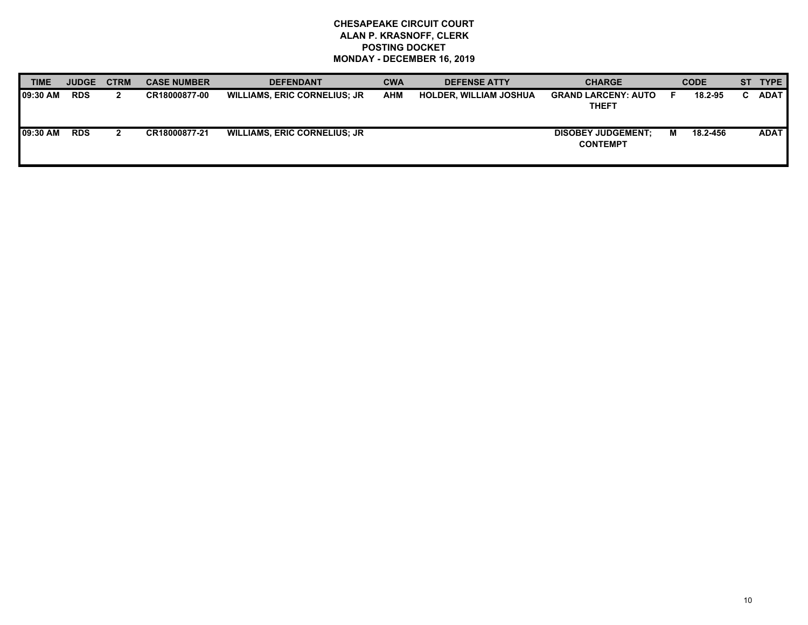| <b>TIME</b>      | <b>JUDGE</b> | <b>CTRM</b> | <b>CASE NUMBER</b> | <b>DEFENDANT</b>                    | <b>CWA</b> | <b>DEFENSE ATTY</b>           | <b>CHARGE</b>                                |   | <b>CODE</b> | ST TYPE     |
|------------------|--------------|-------------|--------------------|-------------------------------------|------------|-------------------------------|----------------------------------------------|---|-------------|-------------|
| <b>109:30 AM</b> | <b>RDS</b>   |             | CR18000877-00      | <b>WILLIAMS, ERIC CORNELIUS; JR</b> | AHM        | <b>HOLDER, WILLIAM JOSHUA</b> | <b>GRAND LARCENY: AUTO</b><br><b>THEFT</b>   |   | 18.2-95     | <b>ADAT</b> |
| <b>09:30 AM</b>  | <b>RDS</b>   |             | CR18000877-21      | <b>WILLIAMS, ERIC CORNELIUS; JR</b> |            |                               | <b>DISOBEY JUDGEMENT:</b><br><b>CONTEMPT</b> | M | 18.2-456    | <b>ADAT</b> |